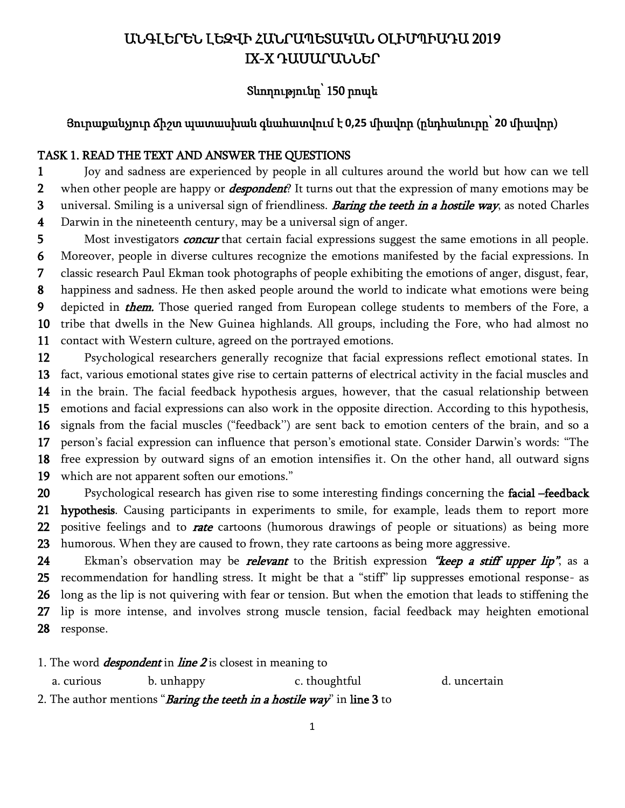# ԱՆԳԼԵՐԵՆ ԼԵԶՎԻ ՀԱՆՐԱՊԵՏԱԿԱՆ ՕԼԻՄՊԻԱԴԱ 2019 IX-X ԴԱՍԱՐԱՆՆԵՐ

## Տևողությունը՝ 150 րոպե

### Յուրաքանչյուր ճիշտ պատասխան գնահատվում է **0,25** միավոր (ընդհանուրը՝ **20** միավոր)

### TASK 1. READ THE TEXT AND ANSWER THE QUESTIONS

1 2 3 Joy and sadness are experienced by people in all cultures around the world but how can we tell when other people are happy or *despondent*? It turns out that the expression of many emotions may be universal. Smiling is a universal sign of friendliness. **Baring the teeth in a hostile way**, as noted Charles

4 Darwin in the nineteenth century, may be a universal sign of anger.

5 6 7 8 9 10 11 Most investigators *concur* that certain facial expressions suggest the same emotions in all people. Moreover, people in diverse cultures recognize the emotions manifested by the facial expressions. In classic research Paul Ekman took photographs of people exhibiting the emotions of anger, disgust, fear, happiness and sadness. He then asked people around the world to indicate what emotions were being depicted in *them*. Those queried ranged from European college students to members of the Fore, a tribe that dwells in the New Guinea highlands. All groups, including the Fore, who had almost no contact with Western culture, agreed on the portrayed emotions.

12 13 14 15 16 17 18 19 Psychological researchers generally recognize that facial expressions reflect emotional states. In fact, various emotional states give rise to certain patterns of electrical activity in the facial muscles and in the brain. The facial feedback hypothesis argues, however, that the casual relationship between emotions and facial expressions can also work in the opposite direction. According to this hypothesis, signals from the facial muscles ("feedback'') are sent back to emotion centers of the brain, and so a person's facial expression can influence that person's emotional state. Consider Darwin's words: "The free expression by outward signs of an emotion intensifies it. On the other hand, all outward signs which are not apparent soften our emotions."

20 21 22 23 Psychological research has given rise to some interesting findings concerning the facial –feedback hypothesis. Causing participants in experiments to smile, for example, leads them to report more positive feelings and to *rate* cartoons (humorous drawings of people or situations) as being more humorous. When they are caused to frown, they rate cartoons as being more aggressive.

24 25 26 27 28 Ekman's observation may be *relevant* to the British expression "keep a stiff upper lip", as a recommendation for handling stress. It might be that a "stiff" lip suppresses emotional response- as long as the lip is not quivering with fear or tension. But when the emotion that leads to stiffening the lip is more intense, and involves strong muscle tension, facial feedback may heighten emotional response.

1. The word *despondent* in *line*  $2$  is closest in meaning to

a. curious b. unhappy c. thoughtful d. uncertain

2. The author mentions "Baring the teeth in a hostile way" in line 3 to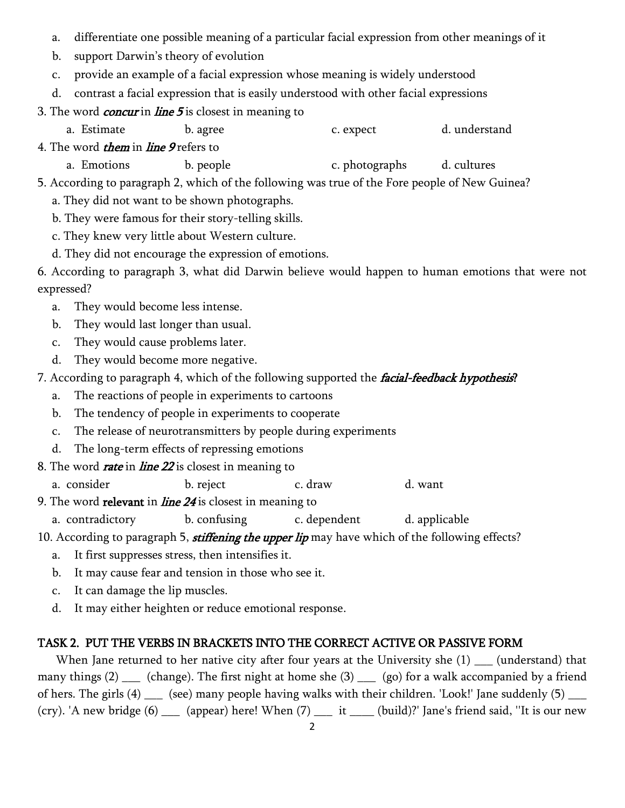- a. differentiate one possible meaning of a particular facial expression from other meanings of it
- b. support Darwin's theory of evolution
- c. provide an example of a facial expression whose meaning is widely understood
- d. contrast a facial expression that is easily understood with other facial expressions
- 3. The word *concur* in *line*  $5$  is closest in meaning to
	- a. Estimate b. agree b. expect d. understand
- 4. The word *them* in *line* 9 refers to
	- a. Emotions b. people c. photographs d. cultures
- 5. According to paragraph 2, which of the following was true of the Fore people of New Guinea?
	- a. They did not want to be shown photographs.
	- b. They were famous for their story-telling skills.
	- c. They knew very little about Western culture.
	- d. They did not encourage the expression of emotions.
- 6. According to paragraph 3, what did Darwin believe would happen to human emotions that were not expressed?
	- a. They would become less intense.
	- b. They would last longer than usual.
	- c. They would cause problems later.
	- d. They would become more negative.
- 7. According to paragraph 4, which of the following supported the *facial-feedback hypothesis*?
	- a. The reactions of people in experiments to cartoons
	- b. The tendency of people in experiments to cooperate
	- c. The release of neurotransmitters by people during experiments
	- d. The long-term effects of repressing emotions
- 8. The word *rate* in *line 22* is closest in meaning to
	- a. consider b. reject c. draw d. want
- 9. The word relevant in *line*  $24$  is closest in meaning to

a. contradictory b. confusing c. dependent d. applicable

10. According to paragraph 5, *stiffening the upper lip* may have which of the following effects?

- a. It first suppresses stress, then intensifies it.
- b. It may cause fear and tension in those who see it.
- c. It can damage the lip muscles.
- d. It may either heighten or reduce emotional response.

## TASK 2. PUT THE VERBS IN BRACKETS INTO THE CORRECT ACTIVE OR PASSIVE FORM

When Jane returned to her native city after four years at the University she (1) (understand) that many things (2) \_\_\_ (change). The first night at home she (3) \_\_\_ (go) for a walk accompanied by a friend of hers. The girls (4) \_\_\_ (see) many people having walks with their children. 'Look!' Jane suddenly (5) \_\_\_ (cry). 'A new bridge (6) \_\_\_ (appear) here! When (7) \_\_\_ it \_\_\_\_ (build)?' Jane's friend said, ''It is our new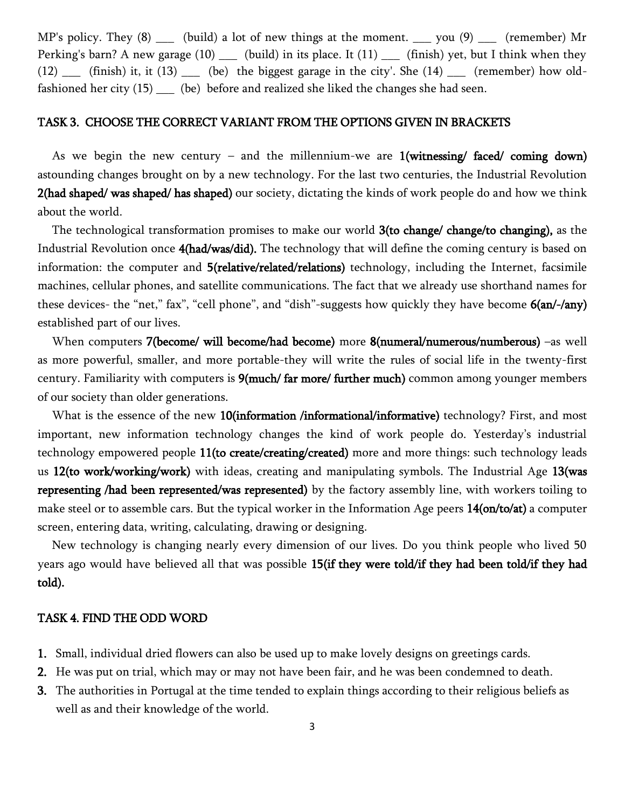MP's policy. They (8) \_\_\_ (build) a lot of new things at the moment. \_\_\_ you (9) \_\_\_ (remember) Mr Perking's barn? A new garage  $(10)$  \_\_\_ (build) in its place. It  $(11)$  \_\_\_ (finish) yet, but I think when they  $(12)$  (finish) it, it  $(13)$  (be) the biggest garage in the city'. She  $(14)$  (remember) how oldfashioned her city (15) \_\_\_\_ (be) before and realized she liked the changes she had seen.

### TASK 3. CHOOSE THE CORRECT VARIANT FROM THE OPTIONS GIVEN IN BRACKETS

As we begin the new century – and the millennium-we are  $1$ (witnessing/ faced/ coming down) astounding changes brought on by a new technology. For the last two centuries, the Industrial Revolution 2(had shaped/ was shaped/ has shaped) our society, dictating the kinds of work people do and how we think about the world.

The technological transformation promises to make our world 3(to change/ change/to changing), as the Industrial Revolution once 4(had/was/did). The technology that will define the coming century is based on information: the computer and 5(relative/related/relations) technology, including the Internet, facsimile machines, cellular phones, and satellite communications. The fact that we already use shorthand names for these devices- the "net," fax", "cell phone", and "dish"-suggests how quickly they have become 6(an/-/any) established part of our lives.

When computers 7(become/ will become/had become) more 8(numeral/numerous/numberous) –as well as more powerful, smaller, and more portable-they will write the rules of social life in the twenty-first century. Familiarity with computers is  $9$ (much/ far more/ further much) common among younger members of our society than older generations.

What is the essence of the new 10(information /informational/informative) technology? First, and most important, new information technology changes the kind of work people do. Yesterday's industrial technology empowered people 11(to create/creating/created) more and more things: such technology leads us 12(to work/working/work) with ideas, creating and manipulating symbols. The Industrial Age 13(was **representing /had been represented/was represented)** by the factory assembly line, with workers toiling to make steel or to assemble cars. But the typical worker in the Information Age peers 14(on/to/at) a computer screen, entering data, writing, calculating, drawing or designing.

New technology is changing nearly every dimension of our lives. Do you think people who lived 50 years ago would have believed all that was possible 15(if they were told/if they had been told/if they had told).

#### TASK 4. FIND THE ODD WORD

- 1. Small, individual dried flowers can also be used up to make lovely designs on greetings cards.
- 2. He was put on trial, which may or may not have been fair, and he was been condemned to death.
- 3. The authorities in Portugal at the time tended to explain things according to their religious beliefs as well as and their knowledge of the world.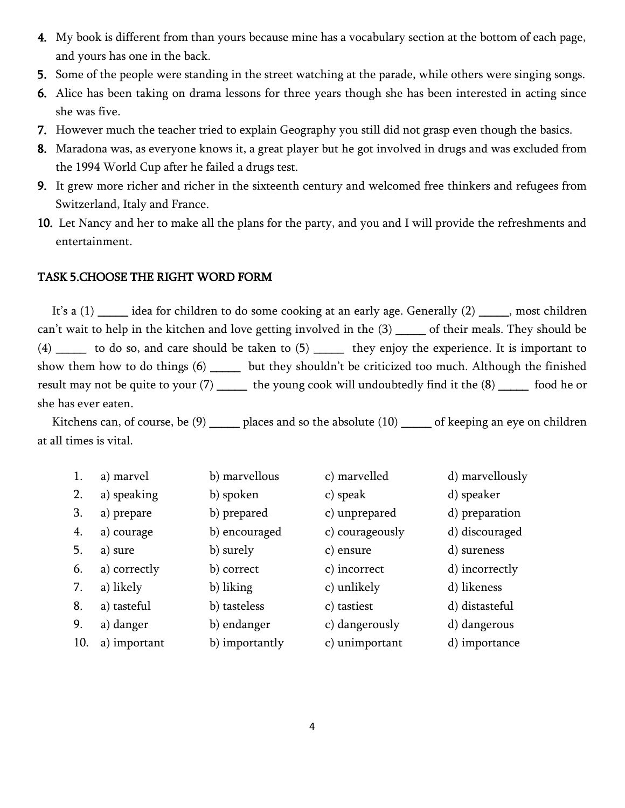- 4. My book is different from than yours because mine has a vocabulary section at the bottom of each page, and yours has one in the back.
- 5. Some of the people were standing in the street watching at the parade, while others were singing songs.
- 6. Alice has been taking on drama lessons for three years though she has been interested in acting since she was five.
- 7. However much the teacher tried to explain Geography you still did not grasp even though the basics.
- 8. Maradona was, as everyone knows it, a great player but he got involved in drugs and was excluded from the 1994 World Cup after he failed a drugs test.
- 9. It grew more richer and richer in the sixteenth century and welcomed free thinkers and refugees from Switzerland, Italy and France.
- 10. Let Nancy and her to make all the plans for the party, and you and I will provide the refreshments and entertainment.

### TASK 5.CHOOSE THE RIGHT WORD FORM

It's a (1) \_\_\_\_\_ idea for children to do some cooking at an early age. Generally (2) \_\_\_\_\_, most children can't wait to help in the kitchen and love getting involved in the (3) \_\_\_\_\_ of their meals. They should be  $(4)$  \_\_\_\_\_ to do so, and care should be taken to  $(5)$  \_\_\_\_\_ they enjoy the experience. It is important to show them how to do things (6) \_\_\_\_\_ but they shouldn't be criticized too much. Although the finished result may not be quite to your (7) \_\_\_\_\_\_ the young cook will undoubtedly find it the (8) \_\_\_\_\_\_ food he or she has ever eaten.

Kitchens can, of course, be (9) \_\_\_\_\_ places and so the absolute (10) \_\_\_\_\_ of keeping an eye on children at all times is vital.

| 1.  | a) marvel    | b) marvellous  | c) marvelled    | d) marvellously |
|-----|--------------|----------------|-----------------|-----------------|
| 2.  | a) speaking  | b) spoken      | c) speak        | d) speaker      |
| 3.  | a) prepare   | b) prepared    | c) unprepared   | d) preparation  |
| 4.  | a) courage   | b) encouraged  | c) courageously | d) discouraged  |
| 5.  | a) sure      | b) surely      | c) ensure       | d) sureness     |
| 6.  | a) correctly | b) correct     | c) incorrect    | d) incorrectly  |
| 7.  | a) likely    | b) liking      | c) unlikely     | d) likeness     |
| 8.  | a) tasteful  | b) tasteless   | c) tastiest     | d) distasteful  |
| 9.  | a) danger    | b) endanger    | c) dangerously  | d) dangerous    |
| 10. | a) important | b) importantly | c) unimportant  | d) importance   |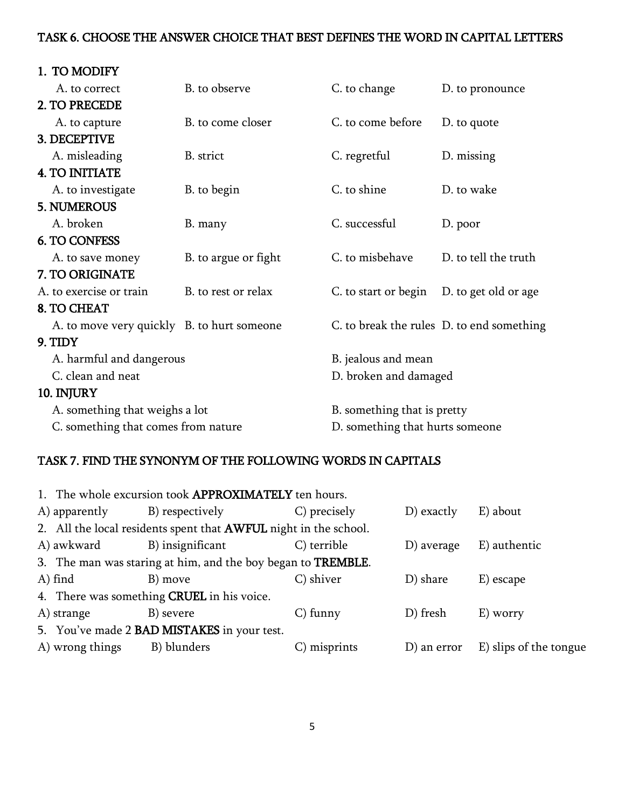### TASK 6. CHOOSE THE ANSWER CHOICE THAT BEST DEFINES THE WORD IN CAPITAL LETTERS

| 1. TO MODIFY                               |                      |                                 |                                           |  |  |
|--------------------------------------------|----------------------|---------------------------------|-------------------------------------------|--|--|
| A. to correct                              | B. to observe        | C. to change                    | D. to pronounce                           |  |  |
| 2. TO PRECEDE                              |                      |                                 |                                           |  |  |
| A. to capture                              | B. to come closer    | C. to come before               | D. to quote                               |  |  |
| 3. DECEPTIVE                               |                      |                                 |                                           |  |  |
| A. misleading                              | B. strict            | C. regretful                    | D. missing                                |  |  |
| <b>4. TO INITIATE</b>                      |                      |                                 |                                           |  |  |
| A. to investigate                          | B. to begin          | C. to shine                     | D. to wake                                |  |  |
| <b>5. NUMEROUS</b>                         |                      |                                 |                                           |  |  |
| A. broken                                  | B. many              | C. successful                   | D. poor                                   |  |  |
| <b>6. TO CONFESS</b>                       |                      |                                 |                                           |  |  |
| A. to save money                           | B. to argue or fight | C. to misbehave                 | D. to tell the truth                      |  |  |
| 7. TO ORIGINATE                            |                      |                                 |                                           |  |  |
| A. to exercise or train                    | B. to rest or relax  |                                 | C. to start or begin D. to get old or age |  |  |
| 8. TO CHEAT                                |                      |                                 |                                           |  |  |
| A. to move very quickly B. to hurt someone |                      |                                 | C. to break the rules D. to end something |  |  |
| 9. TIDY                                    |                      |                                 |                                           |  |  |
| A. harmful and dangerous                   |                      | B. jealous and mean             |                                           |  |  |
| C. clean and neat                          |                      | D. broken and damaged           |                                           |  |  |
| 10. INJURY                                 |                      |                                 |                                           |  |  |
| A. something that weighs a lot             |                      | B. something that is pretty     |                                           |  |  |
| C. something that comes from nature        |                      | D. something that hurts someone |                                           |  |  |

## TASK 7. FIND THE SYNONYM OF THE FOLLOWING WORDS IN CAPITALS

|                                                                  | 1. The whole excursion took APPROXIMATELY ten hours. |              |             |                        |  |  |  |
|------------------------------------------------------------------|------------------------------------------------------|--------------|-------------|------------------------|--|--|--|
| A) apparently                                                    | B) respectively                                      | C) precisely | D) exactly  | E) about               |  |  |  |
| 2. All the local residents spent that AWFUL night in the school. |                                                      |              |             |                        |  |  |  |
| A) awkward                                                       | B) insignificant                                     | C) terrible  | D) average  | E) authentic           |  |  |  |
| 3. The man was staring at him, and the boy began to TREMBLE.     |                                                      |              |             |                        |  |  |  |
| $A)$ find                                                        | B) move                                              | C) shiver    | D) share    | E) escape              |  |  |  |
| 4. There was something CRUEL in his voice.                       |                                                      |              |             |                        |  |  |  |
| A) strange                                                       | B) severe                                            | $C$ ) funny  | D) fresh    | E) worry               |  |  |  |
| 5. You've made 2 BAD MISTAKES in your test.                      |                                                      |              |             |                        |  |  |  |
| A) wrong things                                                  | B) blunders                                          | C) misprints | D) an error | E) slips of the tongue |  |  |  |